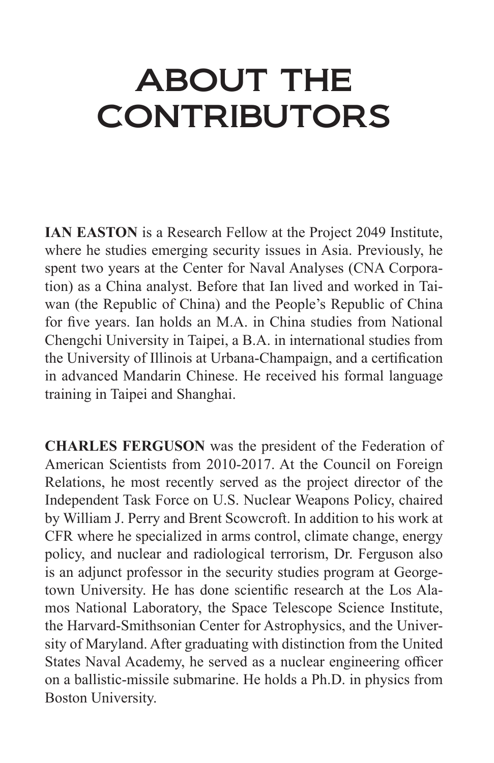## ABOUT THE **CONTRIBUTORS**

**IAN EASTON** is a Research Fellow at the Project 2049 Institute, where he studies emerging security issues in Asia. Previously, he spent two years at the Center for Naval Analyses (CNA Corporation) as a China analyst. Before that Ian lived and worked in Taiwan (the Republic of China) and the People's Republic of China for five years. Ian holds an M.A. in China studies from National Chengchi University in Taipei, a B.A. in international studies from the University of Illinois at Urbana-Champaign, and a certification in advanced Mandarin Chinese. He received his formal language training in Taipei and Shanghai.

**CHARLES FERGUSON** was the president of the Federation of American Scientists from 2010-2017. At the Council on Foreign Relations, he most recently served as the project director of the Independent Task Force on U.S. Nuclear Weapons Policy, chaired by William J. Perry and Brent Scowcroft. In addition to his work at CFR where he specialized in arms control, climate change, energy policy, and nuclear and radiological terrorism, Dr. Ferguson also is an adjunct professor in the security studies program at Georgetown University. He has done scientific research at the Los Alamos National Laboratory, the Space Telescope Science Institute, the Harvard-Smithsonian Center for Astrophysics, and the University of Maryland. After graduating with distinction from the United States Naval Academy, he served as a nuclear engineering officer on a ballistic-missile submarine. He holds a Ph.D. in physics from Boston University.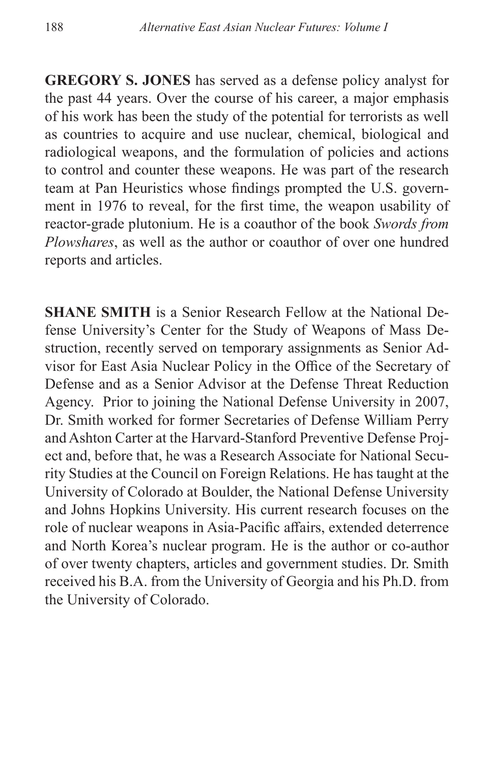**GREGORY S. JONES** has served as a defense policy analyst for the past 44 years. Over the course of his career, a major emphasis of his work has been the study of the potential for terrorists as well as countries to acquire and use nuclear, chemical, biological and radiological weapons, and the formulation of policies and actions to control and counter these weapons. He was part of the research team at Pan Heuristics whose findings prompted the U.S. government in 1976 to reveal, for the first time, the weapon usability of reactor-grade plutonium. He is a coauthor of the book *Swords from Plowshares*, as well as the author or coauthor of over one hundred reports and articles.

**SHANE SMITH** is a Senior Research Fellow at the National Defense University's Center for the Study of Weapons of Mass Destruction, recently served on temporary assignments as Senior Advisor for East Asia Nuclear Policy in the Office of the Secretary of Defense and as a Senior Advisor at the Defense Threat Reduction Agency. Prior to joining the National Defense University in 2007, Dr. Smith worked for former Secretaries of Defense William Perry and Ashton Carter at the Harvard-Stanford Preventive Defense Project and, before that, he was a Research Associate for National Security Studies at the Council on Foreign Relations. He has taught at the University of Colorado at Boulder, the National Defense University and Johns Hopkins University. His current research focuses on the role of nuclear weapons in Asia-Pacific affairs, extended deterrence and North Korea's nuclear program. He is the author or co-author of over twenty chapters, articles and government studies. Dr. Smith received his B.A. from the University of Georgia and his Ph.D. from the University of Colorado.